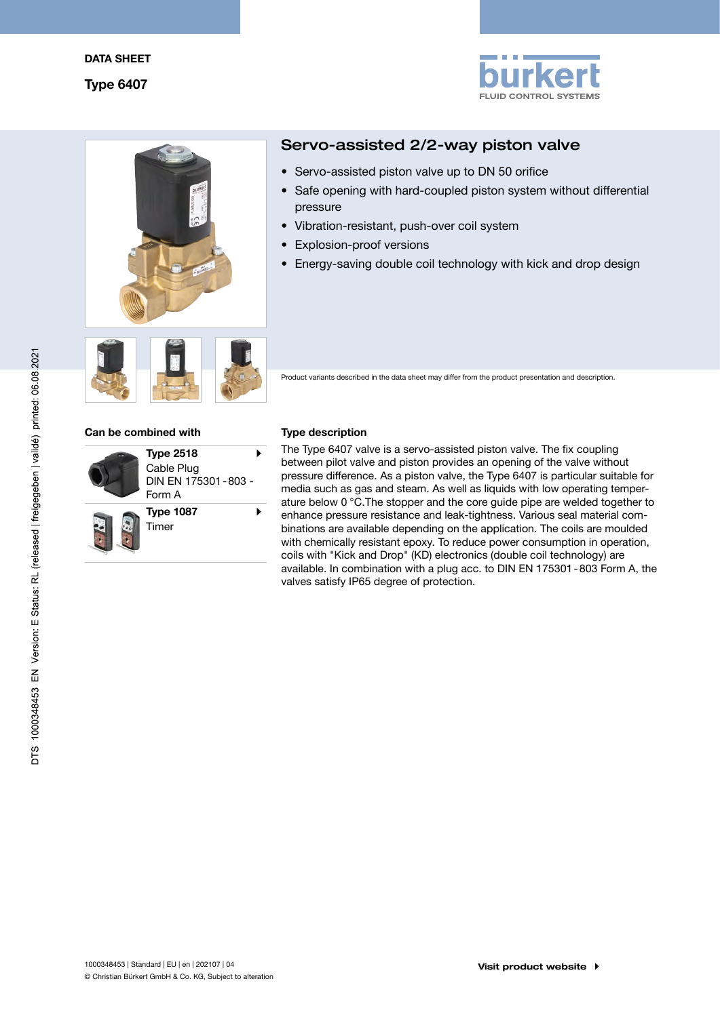



# Servo-assisted 2/2-way piston valve

- Servo-assisted piston valve up to DN 50 orifice
- Safe opening with hard-coupled piston system without differential pressure
- Vibration-resistant, push-over coil system
- Explosion-proof versions
- Energy-saving double coil technology with kick and drop design



Product variants described in the data sheet may differ from the product presentation and description.

#### Can be combined with Type description



The Type 6407 valve is a servo-assisted piston valve. The fix coupling between pilot valve and piston provides an opening of the valve without pressure difference. As a piston valve, the Type 6407 is particular suitable for media such as gas and steam. As well as liquids with low operating temperature below 0 °C.The stopper and the core guide pipe are welded together to enhance pressure resistance and leak-tightness. Various seal material combinations are available depending on the application. The coils are moulded with chemically resistant epoxy. To reduce power consumption in operation, coils with "Kick and Drop" (KD) electronics (double coil technology) are available. In combination with a plug acc. to DIN EN 175301-803 Form A, the valves satisfy IP65 degree of protection.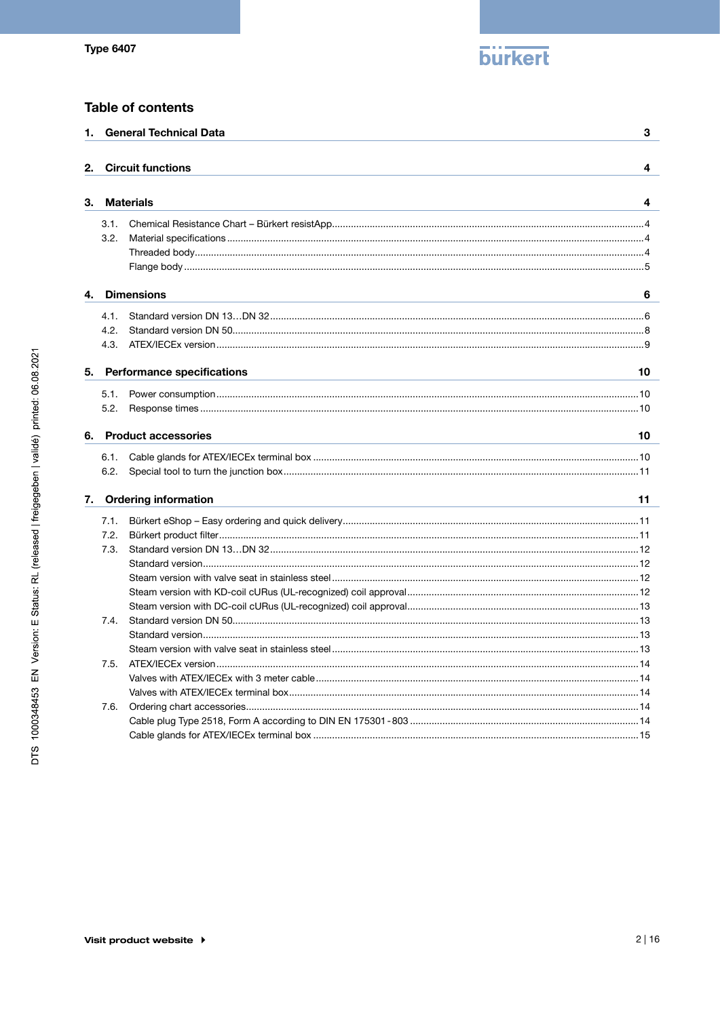

# **Table of contents**

| 1. |      | <b>General Technical Data</b>     | 3  |
|----|------|-----------------------------------|----|
|    |      |                                   |    |
| 2. |      | <b>Circuit functions</b>          | 4  |
|    |      |                                   |    |
| З. |      | <b>Materials</b>                  | 4  |
|    | 3.1. |                                   |    |
|    | 3.2. |                                   |    |
|    |      |                                   |    |
|    |      |                                   |    |
| 4. |      | <b>Dimensions</b>                 | 6  |
|    | 4.1. |                                   |    |
|    | 4.2. |                                   |    |
|    | 4.3. |                                   |    |
| 5. |      | <b>Performance specifications</b> | 10 |
|    |      |                                   |    |
|    | 5.1. |                                   |    |
|    | 5.2. |                                   |    |
| 6. |      | <b>Product accessories</b>        | 10 |
|    | 6.1. |                                   |    |
|    | 6.2. |                                   |    |
|    |      |                                   |    |
| 7. |      | <b>Ordering information</b>       | 11 |
|    | 7.1. |                                   |    |
|    | 7.2. |                                   |    |
|    | 7.3. |                                   |    |
|    |      |                                   |    |
|    |      |                                   |    |
|    |      |                                   |    |
|    |      |                                   |    |
|    | 7.4. |                                   |    |
|    |      |                                   |    |
|    |      |                                   |    |
|    | 7.5. |                                   |    |
|    |      |                                   |    |
|    |      |                                   |    |
|    | 7.6. |                                   |    |
|    |      |                                   |    |
|    |      |                                   |    |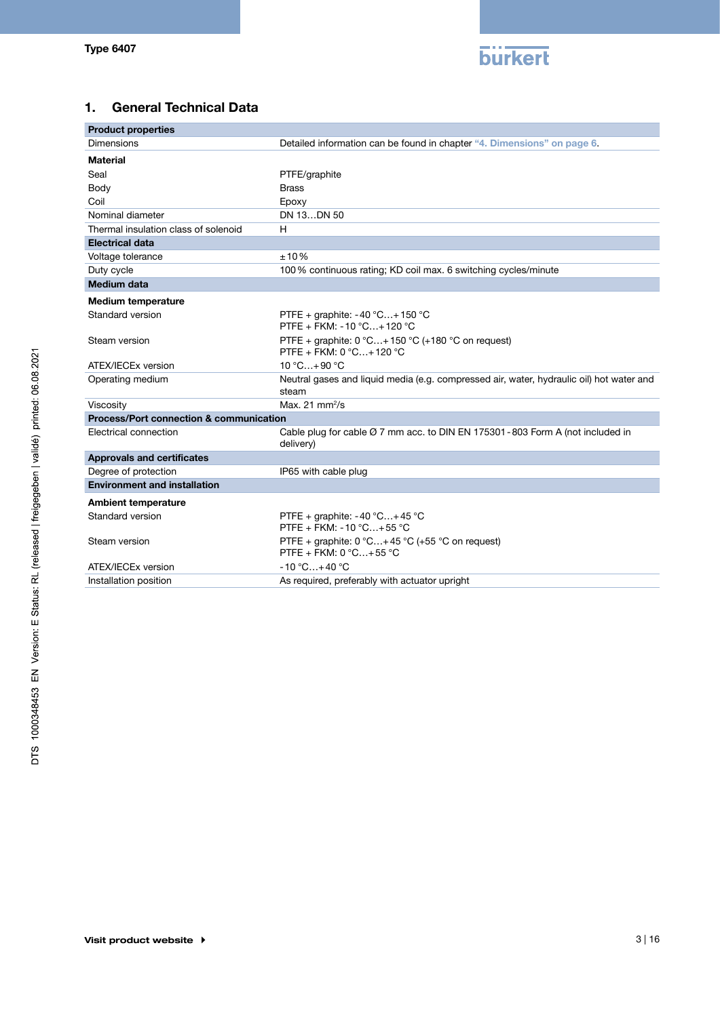

# 1. General Technical Data

| <b>Product properties</b>               |                                                                                                          |
|-----------------------------------------|----------------------------------------------------------------------------------------------------------|
| Dimensions                              | Detailed information can be found in chapter "4. Dimensions" on page 6.                                  |
| <b>Material</b>                         |                                                                                                          |
| Seal                                    | PTFE/graphite                                                                                            |
| Body                                    | <b>Brass</b>                                                                                             |
| Coil                                    | Epoxy                                                                                                    |
| Nominal diameter                        | DN 13DN 50                                                                                               |
| Thermal insulation class of solenoid    | H                                                                                                        |
| <b>Electrical data</b>                  |                                                                                                          |
| Voltage tolerance                       | ±10%                                                                                                     |
| Duty cycle                              | 100% continuous rating; KD coil max. 6 switching cycles/minute                                           |
| <b>Medium data</b>                      |                                                                                                          |
| <b>Medium temperature</b>               |                                                                                                          |
| Standard version                        | PTFE + graphite: $-40$ °C + 150 °C<br>PTFE + FKM: -10 °C+120 °C                                          |
| Steam version                           | PTFE + graphite: 0 °C+150 °C (+180 °C on request)<br>PTFE + FKM: 0 °C+120 °C                             |
| ATEX/IECEx version                      | $10 °C + 90 °C$                                                                                          |
| Operating medium                        | Neutral gases and liquid media (e.g. compressed air, water, hydraulic oil) hot water and<br>steam        |
| Viscosity                               | Max. $21$ mm $2/s$                                                                                       |
| Process/Port connection & communication |                                                                                                          |
| Electrical connection                   | Cable plug for cable $\varnothing$ 7 mm acc. to DIN EN 175301 - 803 Form A (not included in<br>delivery) |
| <b>Approvals and certificates</b>       |                                                                                                          |
| Degree of protection                    | IP65 with cable plug                                                                                     |
| <b>Environment and installation</b>     |                                                                                                          |
| <b>Ambient temperature</b>              |                                                                                                          |
| Standard version                        | PTFE + graphite: $-40$ °C $+45$ °C<br>PTFE + FKM: -10 °C+55 °C                                           |
| Steam version                           | PTFE + graphite: $0 °C+45 °C$ (+55 °C on request)<br>PTFE + FKM: $0 °C+55 °C$                            |
| ATEX/IECEx version                      | $-10 °C+40 °C$                                                                                           |
| Installation position                   | As required, preferably with actuator upright                                                            |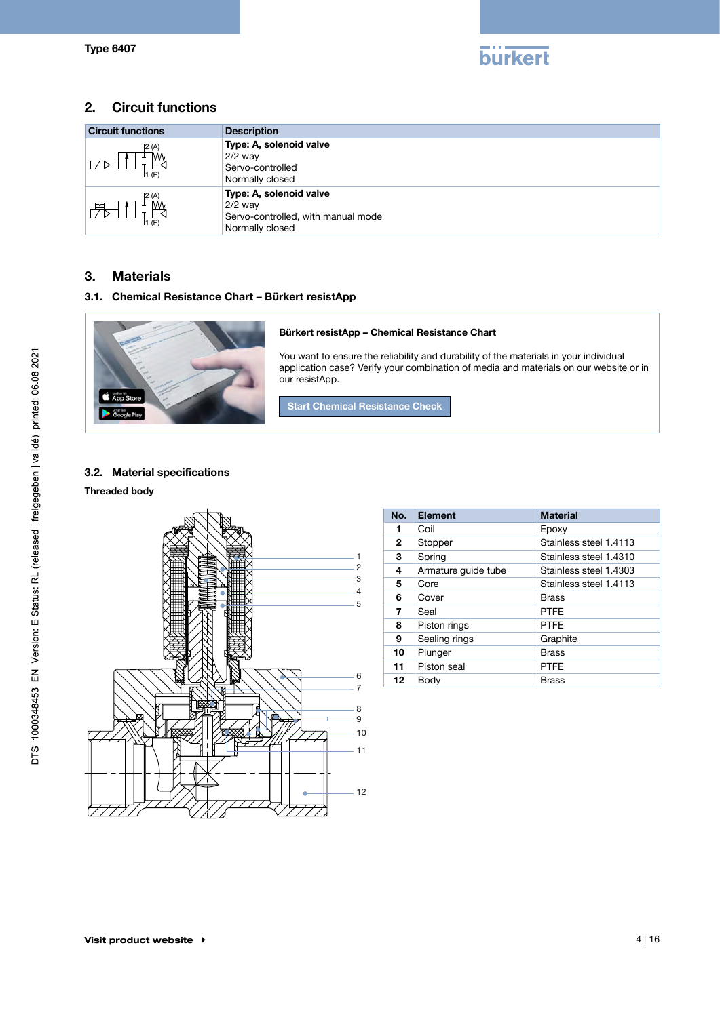

# 2. Circuit functions

| <b>Circuit functions</b>                   | <b>Description</b>                                                                            |
|--------------------------------------------|-----------------------------------------------------------------------------------------------|
| 2 (A)<br>1(P)                              | Type: A, solenoid valve<br>$2/2$ way<br>Servo-controlled<br>Normally closed                   |
| (A)<br>$\mathop{\rightharpoonup}$<br>1 (P) | Type: A, solenoid valve<br>$2/2$ way<br>Servo-controlled, with manual mode<br>Normally closed |

# 3. Materials

### 3.1. Chemical Resistance Chart – Bürkert resistApp



#### Bürkert resistApp – Chemical Resistance Chart

You want to ensure the reliability and durability of the materials in your individual application case? Verify your combination of media and materials on our website or in our resistApp.

Start Chemical Resistance Check

# 3.2. Material specifications

#### Threaded body



| No. | <b>Element</b>      | <b>Material</b>        |  |  |  |  |  |
|-----|---------------------|------------------------|--|--|--|--|--|
| 1   | Coil                | Epoxy                  |  |  |  |  |  |
| 2   | Stopper             | Stainless steel 1.4113 |  |  |  |  |  |
| 3   | Spring              | Stainless steel 1.4310 |  |  |  |  |  |
| 4   | Armature quide tube | Stainless steel 1.4303 |  |  |  |  |  |
| 5   | Core                | Stainless steel 1.4113 |  |  |  |  |  |
| 6   | Cover               | Brass                  |  |  |  |  |  |
| 7   | Seal                | <b>PTFF</b>            |  |  |  |  |  |
| 8   | Piston rings        | <b>PTFF</b>            |  |  |  |  |  |
| 9   | Sealing rings       | Graphite               |  |  |  |  |  |
| 10  | Plunger             | <b>Brass</b>           |  |  |  |  |  |
| 11  | Piston seal         | <b>PTFE</b>            |  |  |  |  |  |
| 12  | Body                | <b>Brass</b>           |  |  |  |  |  |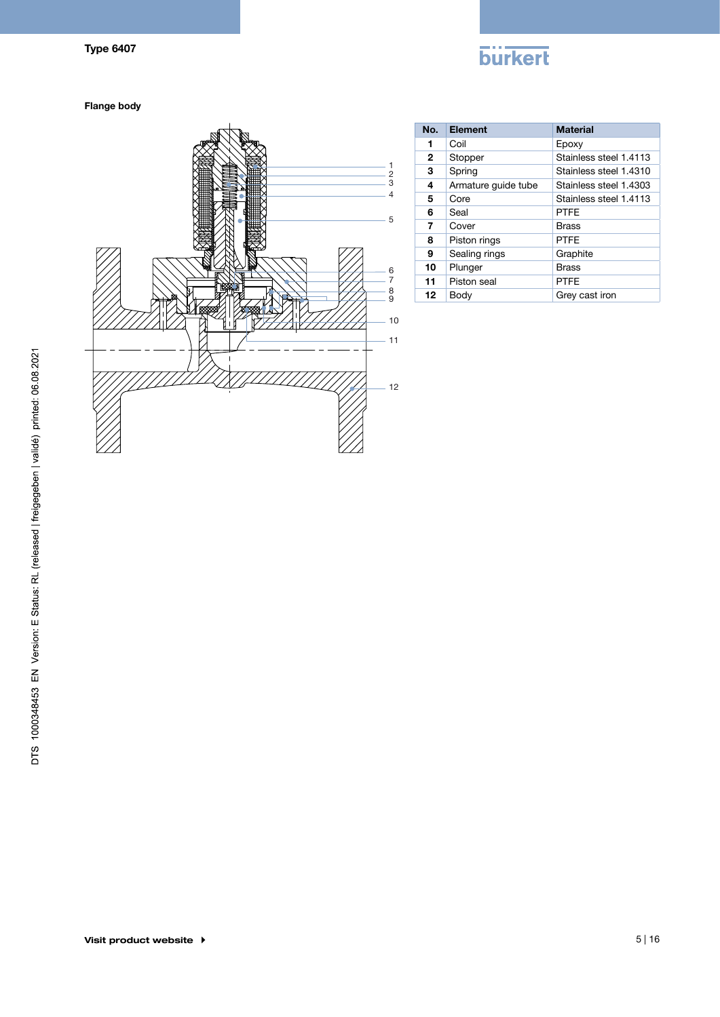# **burkert**

Flange body



| No. | Element             | <b>Material</b>        |
|-----|---------------------|------------------------|
| 1   | Coil                | Epoxy                  |
| 2   | Stopper             | Stainless steel 1.4113 |
| 3   | Spring              | Stainless steel 1.4310 |
| 4   | Armature guide tube | Stainless steel 1.4303 |
| 5   | Core                | Stainless steel 1.4113 |
| 6   | Seal                | <b>PTFF</b>            |
| 7   | Cover               | <b>Brass</b>           |
| 8   | Piston rings        | <b>PTFE</b>            |
| 9   | Sealing rings       | Graphite               |
| 10  | Plunger             | Brass                  |
| 11  | Piston seal         | <b>PTFF</b>            |
| 12  | Body                | Grey cast iron         |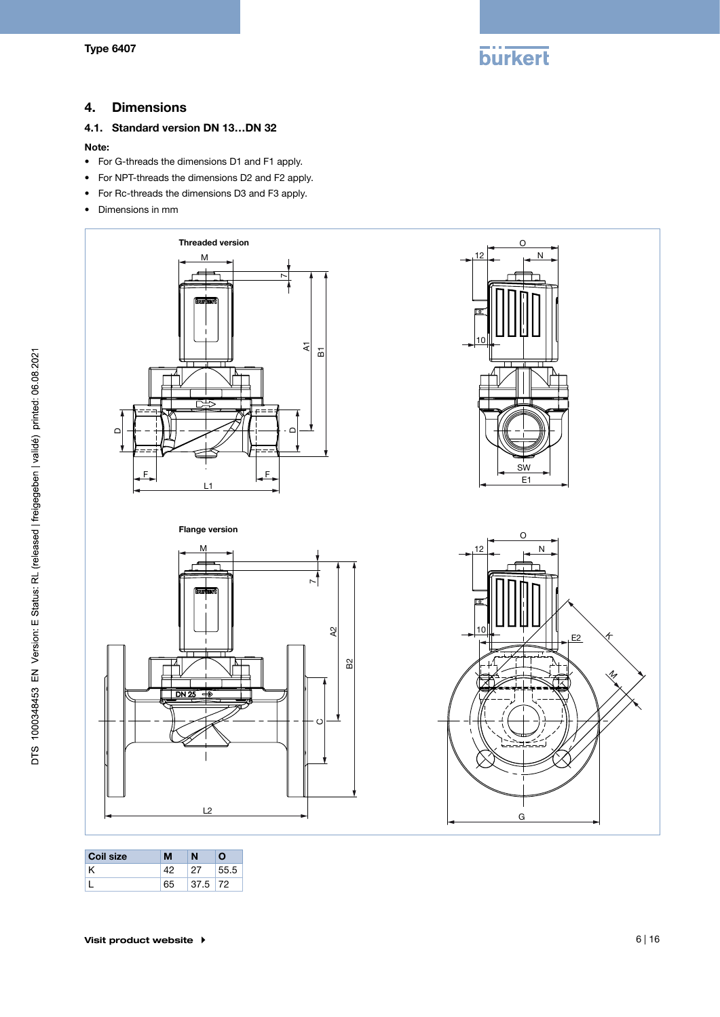

# 4. Dimensions

## 4.1. Standard version DN 13…DN 32

#### Note:

- • For G-threads the dimensions D1 and F1 apply.
- • For NPT-threads the dimensions D2 and F2 apply.
- • For Rc-threads the dimensions D3 and F3 apply.
- Dimensions in mm



| <b>Coil size</b> |    | N         | Ω    |
|------------------|----|-----------|------|
|                  |    | -27       | 55.5 |
|                  | 65 | $37.5$ 72 |      |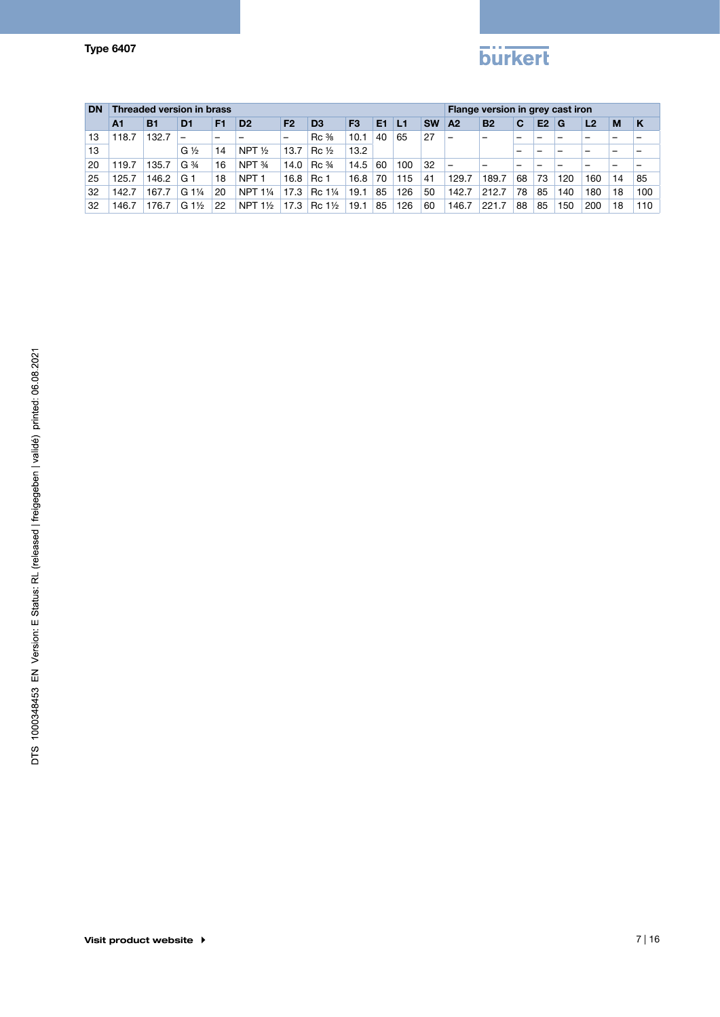# **burkert**

| <b>DN</b> |                | Threaded version in brass |                               |                |                    |                |                                  |                |                |     |           |                          | Flange version in grey cast iron |    |                |     |                |    |     |  |
|-----------|----------------|---------------------------|-------------------------------|----------------|--------------------|----------------|----------------------------------|----------------|----------------|-----|-----------|--------------------------|----------------------------------|----|----------------|-----|----------------|----|-----|--|
|           | A <sub>1</sub> | <b>B1</b>                 | D <sub>1</sub>                | F <sub>1</sub> | D <sub>2</sub>     | F <sub>2</sub> | D <sub>3</sub>                   | F <sub>3</sub> | E <sub>1</sub> | L1  | <b>SW</b> | A2                       | <b>B2</b>                        | C  | E <sub>2</sub> | G   | L <sub>2</sub> | м  | K   |  |
| 13        | 118.7          | 132.7                     |                               | -              |                    | -              | $Rc \frac{3}{8}$                 | 10.1           | 40             | 65  | 27        | $\qquad \qquad$          | -                                | -  |                |     |                |    |     |  |
| 13        |                |                           | $G\frac{1}{2}$                | 14             | NPT $\frac{1}{2}$  | 13.7           | $Rc\frac{1}{2}$                  | 13.2           |                |     |           |                          |                                  | -  |                |     |                |    |     |  |
| 20        | 119.7          | 135.7                     | G <sup>3</sup> / <sub>4</sub> | 16             | NPT 34             | 14.0           | $\text{Rc} \frac{3}{4}$          | 14.5           | 60             | 100 | 32        | $\overline{\phantom{0}}$ |                                  | -  |                |     |                |    |     |  |
| 25        | 125.7          | 146.2                     | G 1                           | 18             | NPT <sub>1</sub>   | 16.8           | Rc 1                             | 16.8           | 70             | 115 | 41        | 129.7                    | 189.7                            | 68 | 73             | 120 | 160            | 14 | 85  |  |
| 32        | 142.7          | 167.7                     | $G1\frac{1}{4}$               | 20             | NPT 11/4           | 17.3           | Rc 1 <sup>1</sup> / <sub>4</sub> | 19.1           | 85             | 126 | 50        | 142.7                    | 212.7                            | 78 | 85             | 140 | 180            | 18 | 100 |  |
| 32        | 146.7          | 176.7                     | $G_1\frac{1}{2}$              | 22             | NPT $1\frac{1}{2}$ | 17.3           | Rc 1½                            | 19.1           | 85             | 126 | 60        | 146.7                    | 221.7                            | 88 | 85             | 150 | 200            | 18 | 110 |  |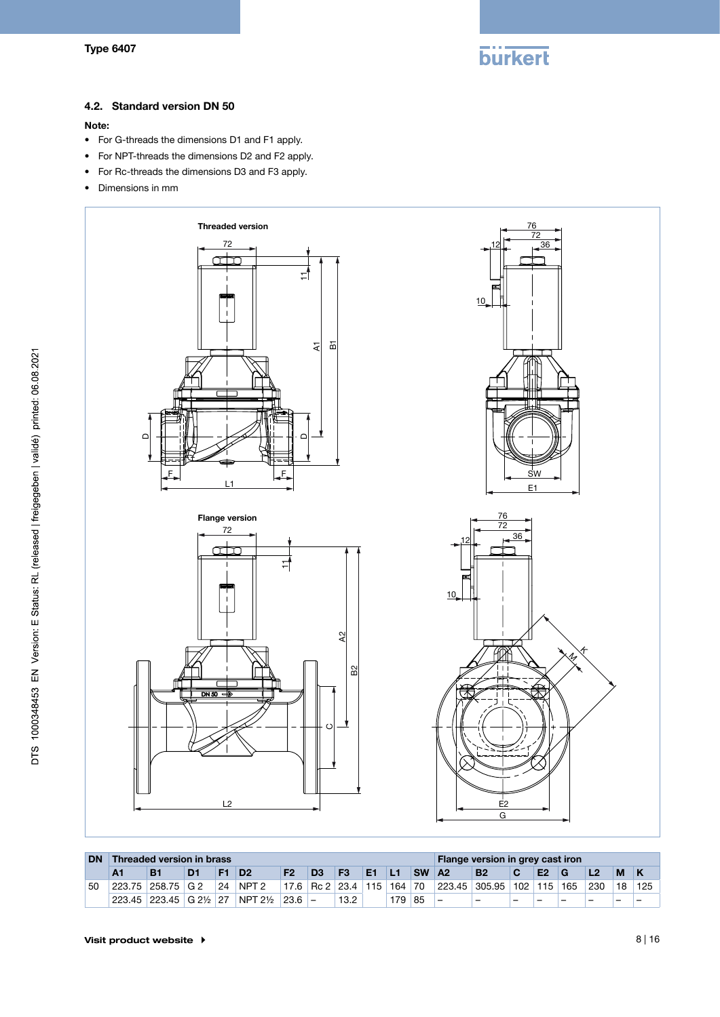

#### 4.2. Standard version DN 50

#### Note:

- • For G-threads the dimensions D1 and F1 apply.
- • For NPT-threads the dimensions D2 and F2 apply.
- • For Rc-threads the dimensions D3 and F3 apply.
- • Dimensions in mm



| <b>DN</b> | <b>Threaded version in brass</b> |                       |                |    |                    |                |                                   |                |                |     | Flange version in grey cast iron |                          |                                   |   |  |   |     |    |       |
|-----------|----------------------------------|-----------------------|----------------|----|--------------------|----------------|-----------------------------------|----------------|----------------|-----|----------------------------------|--------------------------|-----------------------------------|---|--|---|-----|----|-------|
|           |                                  | <b>B1</b>             | D <sub>1</sub> | F1 | D <sub>2</sub>     | F <sub>2</sub> | D <sub>3</sub>                    | F <sub>3</sub> | E <sub>1</sub> | 1L1 | <b>SW</b>                        | <b>A2</b>                | <b>B2</b>                         |   |  |   |     | M  |       |
| 50        |                                  | 223.75 258.75 G 2     |                | 24 | NPT <sub>2</sub>   |                | 17.6 Rc 2   23.4   115   164   70 |                |                |     |                                  |                          | 223.45   305.95   102   115   165 |   |  |   | 230 | 18 | i 125 |
|           |                                  | 223.45 223.45 G 2½ 27 |                |    | $NPT 2\frac{1}{2}$ | $ 23.6 $ –     |                                   | 13.2           |                | 179 | 85                               | $\overline{\phantom{0}}$ | -                                 | - |  | - |     |    |       |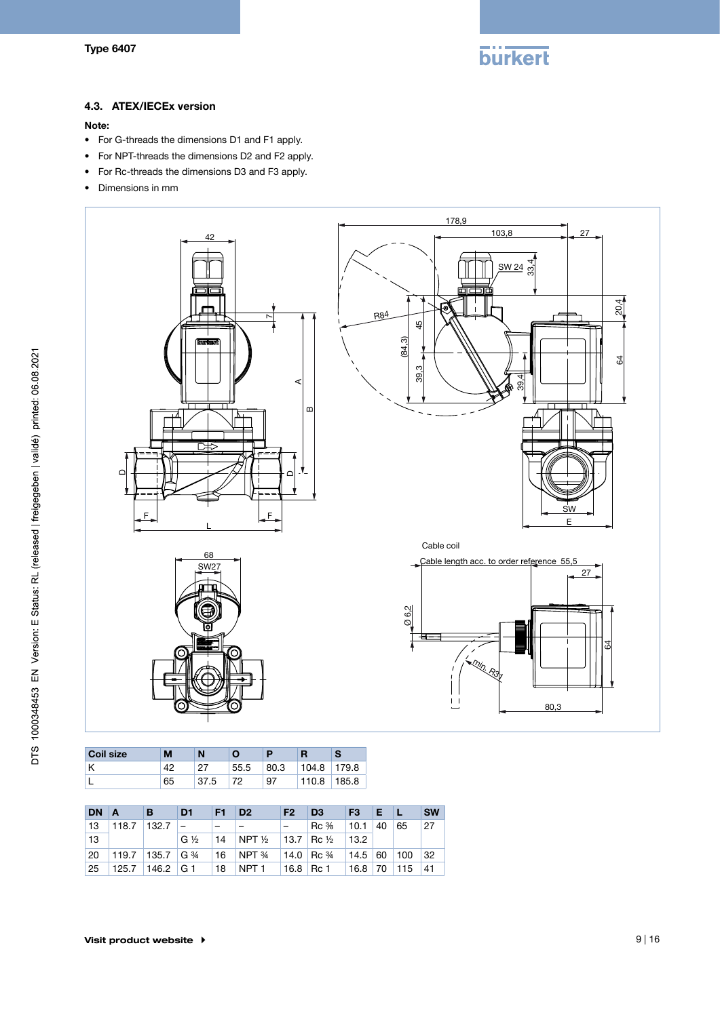

### 4.3. ATEX/IECEx version

#### Note:

- • For G-threads the dimensions D1 and F1 apply.
- • For NPT-threads the dimensions D2 and F2 apply.
- • For Rc-threads the dimensions D3 and F3 apply.
- • Dimensions in mm



| <b>Coil size</b> | M  |      | Ο    |      |       |       |
|------------------|----|------|------|------|-------|-------|
|                  | ΔQ | ר מ  | 55.5 | 80.3 | 104.8 | 179.8 |
|                  | 65 | 37.5 | 70   | 97   | 110.8 | 185.8 |

| <b>DN</b> | $\overline{A}$ | ΙB.             | D <sub>1</sub>  | F1.    | D <sub>2</sub>                                     | <b>F2</b> | D <sub>3</sub>                 | F <sub>3</sub> | EL |     | <b>SW</b> |
|-----------|----------------|-----------------|-----------------|--------|----------------------------------------------------|-----------|--------------------------------|----------------|----|-----|-----------|
| 13        | 118.7          | $132.7 -$       |                 | $\sim$ |                                                    |           | $\operatorname{Rc}\frac{3}{8}$ | $\vert$ 10.1   | 40 | 65  | 27        |
| 13        |                |                 | $G\frac{1}{2}$  |        | 14 NPT $\frac{1}{2}$ 13.7 Rc $\frac{1}{2}$         |           |                                | 13.2           |    |     |           |
| 20        |                |                 | 119.7 135.7 G ¾ |        | 16 NPT $\frac{3}{4}$ 14.0 Rc $\frac{3}{4}$ 14.5 60 |           |                                |                |    | 100 | 32        |
| 25        |                | 125.7 146.2 G 1 |                 | 18     | NPT 1                                              |           | 16.8 Rc 1                      | 16.8 70 115    |    |     | 41        |

80,3